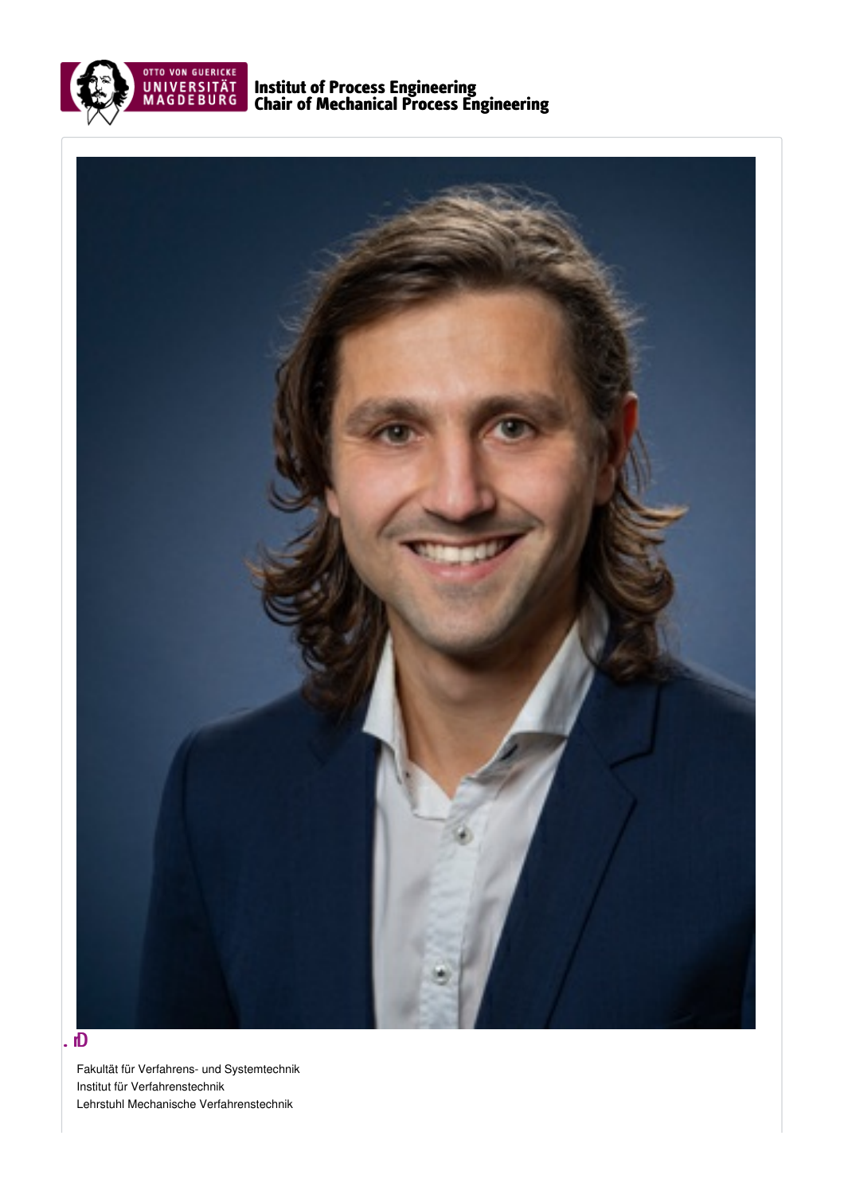

Institut of Process Engineering Chair of Mechanical Process Engineering



# $\mathbf{E}$

Fakultät für Verfahrens- und Systemtechnik Institut für Verfahrenstechnik Lehrstuhl Mechanische Verfahrenstechnik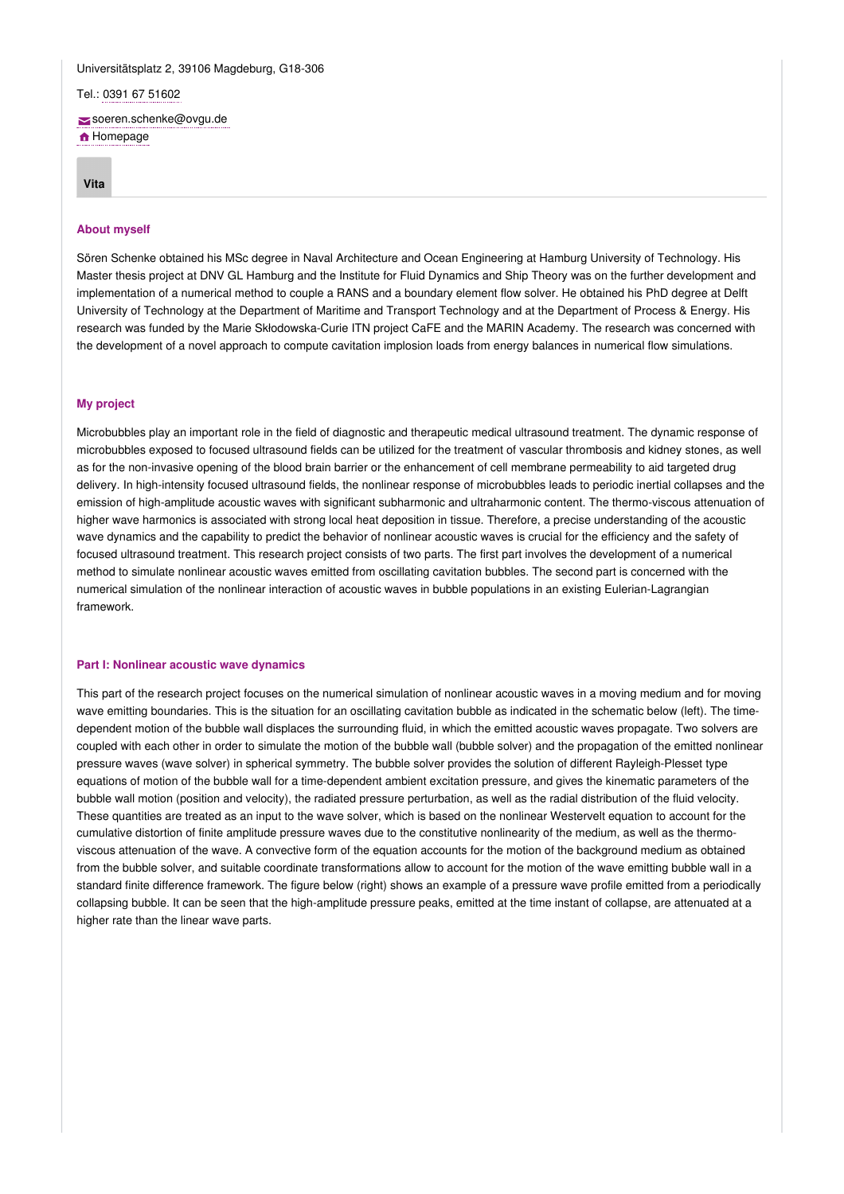# Universitätsplatz 2, 39106 Magdeburg, G18-306

Tel.: 0391 67 [51602](tel: 0391 67 51602)

[soeren.schenke@ovgu.de](mailto:soeren.schenke@ovgu.de)

**f** [Homepage](https://wwwred.ovgu.de/mvt/People/M_Sc_+S%C3%B6ren+Schenke-nonactive-1-preview-1-showdeleted-1-p-244.html)

**[Vita](#page-1-0)**

### <span id="page-1-0"></span>**About myself**

Sören Schenke obtained his MSc degree in Naval Architecture and Ocean Engineering at Hamburg University of Technology. His Master thesis project at DNV GL Hamburg and the Institute for Fluid Dynamics and Ship Theory was on the further development and implementation of a numerical method to couple a RANS and a boundary element flow solver. He obtained his PhD degree at Delft University of Technology at the Department of Maritime and Transport Technology and at the Department of Process & Energy. His research was funded by the Marie Skłodowska-Curie ITN project CaFE and the MARIN Academy. The research was concerned with the development of a novel approach to compute cavitation implosion loads from energy balances in numerical flow simulations.

## **My project**

Microbubbles play an important role in the field of diagnostic and therapeutic medical ultrasound treatment. The dynamic response of microbubbles exposed to focused ultrasound fields can be utilized for the treatment of vascular thrombosis and kidney stones, as well as for the non-invasive opening of the blood brain barrier or the enhancement of cell membrane permeability to aid targeted drug delivery. In high-intensity focused ultrasound fields, the nonlinear response of microbubbles leads to periodic inertial collapses and the emission of high-amplitude acoustic waves with significant subharmonic and ultraharmonic content. The thermo-viscous attenuation of higher wave harmonics is associated with strong local heat deposition in tissue. Therefore, a precise understanding of the acoustic wave dynamics and the capability to predict the behavior of nonlinear acoustic waves is crucial for the efficiency and the safety of focused ultrasound treatment. This research project consists of two parts. The first part involves the development of a numerical method to simulate nonlinear acoustic waves emitted from oscillating cavitation bubbles. The second part is concerned with the numerical simulation of the nonlinear interaction of acoustic waves in bubble populations in an existing Eulerian-Lagrangian framework.

# **Part I: Nonlinear acoustic wave dynamics**

This part of the research project focuses on the numerical simulation of nonlinear acoustic waves in a moving medium and for moving wave emitting boundaries. This is the situation for an oscillating cavitation bubble as indicated in the schematic below (left). The timedependent motion of the bubble wall displaces the surrounding fluid, in which the emitted acoustic waves propagate. Two solvers are coupled with each other in order to simulate the motion of the bubble wall (bubble solver) and the propagation of the emitted nonlinear pressure waves (wave solver) in spherical symmetry. The bubble solver provides the solution of different Rayleigh-Plesset type equations of motion of the bubble wall for a time-dependent ambient excitation pressure, and gives the kinematic parameters of the bubble wall motion (position and velocity), the radiated pressure perturbation, as well as the radial distribution of the fluid velocity. These quantities are treated as an input to the wave solver, which is based on the nonlinear Westervelt equation to account for the cumulative distortion of finite amplitude pressure waves due to the constitutive nonlinearity of the medium, as well as the thermoviscous attenuation of the wave. A convective form of the equation accounts for the motion of the background medium as obtained from the bubble solver, and suitable coordinate transformations allow to account for the motion of the wave emitting bubble wall in a standard finite difference framework. The figure below (right) shows an example of a pressure wave profile emitted from a periodically collapsing bubble. It can be seen that the high-amplitude pressure peaks, emitted at the time instant of collapse, are attenuated at a higher rate than the linear wave parts.